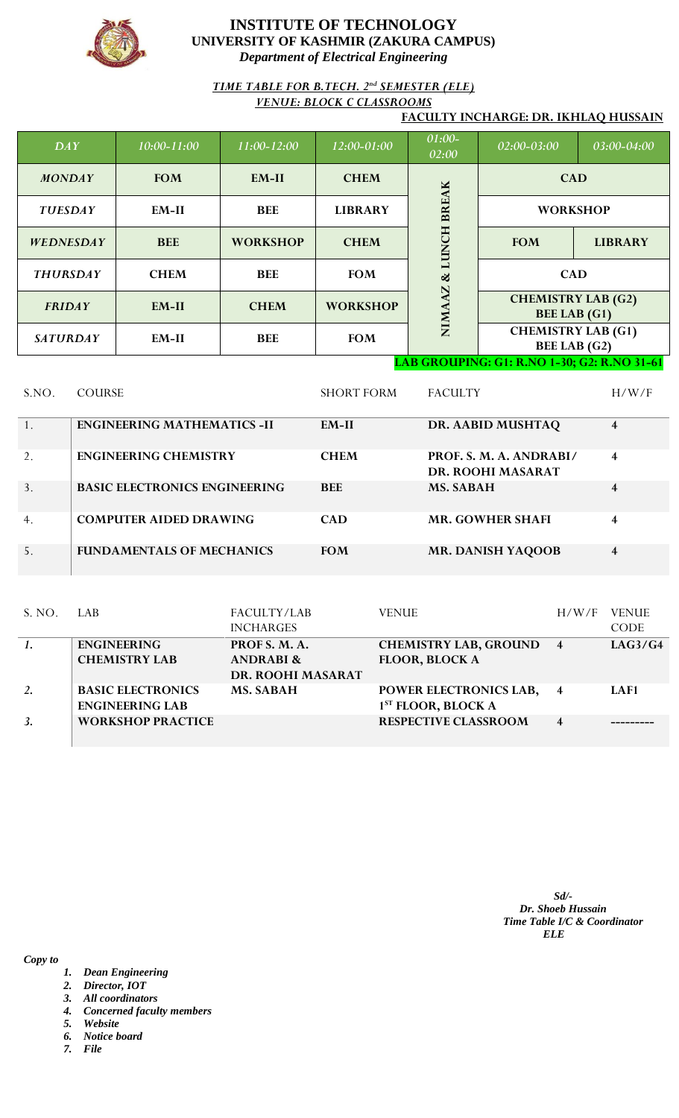

# *TIME TABLE FOR B.TECH. 2nd SEMESTER (ELE) VENUE: BLOCK C CLASSROOMS*

### **FACULTY INCHARGE: DR. IKHLAQ HUSSAIN**

| DAY              | $10:00 - 11:00$                             | $11:00 - 12:00$ | 12:00-01:00     | 01:00-<br>02:00  | $\sqrt{02:00}$ -03:00 $^{\circ}$                 | 03:00-04:00    |  |  |
|------------------|---------------------------------------------|-----------------|-----------------|------------------|--------------------------------------------------|----------------|--|--|
| <b>MONDAY</b>    | <b>FOM</b>                                  | $EM-II$         | <b>CHEM</b>     |                  | <b>CAD</b>                                       |                |  |  |
| <b>TUESDAY</b>   | EM-II                                       | <b>BEE</b>      | <b>LIBRARY</b>  | <b>BREAK</b>     | <b>WORKSHOP</b>                                  |                |  |  |
| <b>WEDNESDAY</b> | <b>BEE</b>                                  | <b>WORKSHOP</b> | <b>CHEM</b>     | LUNCH            | <b>FOM</b>                                       | <b>LIBRARY</b> |  |  |
| <b>THURSDAY</b>  | <b>CHEM</b>                                 | <b>BEE</b>      | <b>FOM</b>      | ಜ<br>$\mathbf N$ | <b>CAD</b>                                       |                |  |  |
| <b>FRIDAY</b>    | EM-II                                       | <b>CHEM</b>     | <b>WORKSHOP</b> | NIMA             | <b>CHEMISTRY LAB (G2)</b><br><b>BEE LAB</b> (G1) |                |  |  |
| <b>SATURDAY</b>  | $EM-II$                                     | <b>BEE</b>      | <b>FOM</b>      |                  | <b>CHEMISTRY LAB (G1)</b><br><b>BEE LAB</b> (G2) |                |  |  |
|                  | LAB GROUPING: G1: R.NO 1-30; G2: R.NO 31-61 |                 |                 |                  |                                                  |                |  |  |

| S.NO. | <b>COURSE</b>                        | <b>SHORT FORM</b> | <b>FACULTY</b>                               | H/W/F          |
|-------|--------------------------------------|-------------------|----------------------------------------------|----------------|
|       | <b>ENGINEERING MATHEMATICS -II</b>   | $EM-II$           | DR. AABID MUSHTAQ                            | 4              |
| 2.    | <b>ENGINEERING CHEMISTRY</b>         | <b>CHEM</b>       | PROF. S. M. A. ANDRABI/<br>DR. ROOHI MASARAT | $\overline{4}$ |
| 3.    | <b>BASIC ELECTRONICS ENGINEERING</b> | <b>BEE</b>        | <b>MS. SABAH</b>                             | 4              |
| 4.    | <b>COMPUTER AIDED DRAWING</b>        | <b>CAD</b>        | <b>MR. GOWHER SHAFI</b>                      | 4              |
| 5.    | <b>FUNDAMENTALS OF MECHANICS</b>     | <b>FOM</b>        | <b>MR. DANISH YAQOOB</b>                     | 4              |

| S. NO. | LAB.                                               | FACULTY/LAB<br><b>INCHARGES</b>                            | <b>VENUE</b>                                             | H/W/F                   | <b>VENUE</b><br><b>CODE</b> |
|--------|----------------------------------------------------|------------------------------------------------------------|----------------------------------------------------------|-------------------------|-----------------------------|
|        | <b>ENGINEERING</b><br><b>CHEMISTRY LAB</b>         | PROF S. M. A.<br><b>ANDRABI &amp;</b><br>DR. ROOHI MASARAT | <b>CHEMISTRY LAB, GROUND</b><br><b>FLOOR, BLOCK A</b>    | $\overline{4}$          | LAG3/G4                     |
| 2.     | <b>BASIC ELECTRONICS</b><br><b>ENGINEERING LAB</b> | <b>MS. SABAH</b>                                           | POWER ELECTRONICS LAB,<br>1 <sup>ST</sup> FLOOR, BLOCK A | $\overline{4}$          | LAF1                        |
| 3.     | <b>WORKSHOP PRACTICE</b>                           |                                                            | <b>RESPECTIVE CLASSROOM</b>                              | $\overline{\mathbf{4}}$ |                             |

*Sd/- Dr. Shoeb Hussain Time Table I/C & Coordinator ELE*

- *1. Dean Engineering*
- *2. Director, IOT*
- *3. All coordinators*
- *4. Concerned faculty members*
- *5. Website*
- *6. Notice board*
- *7. File*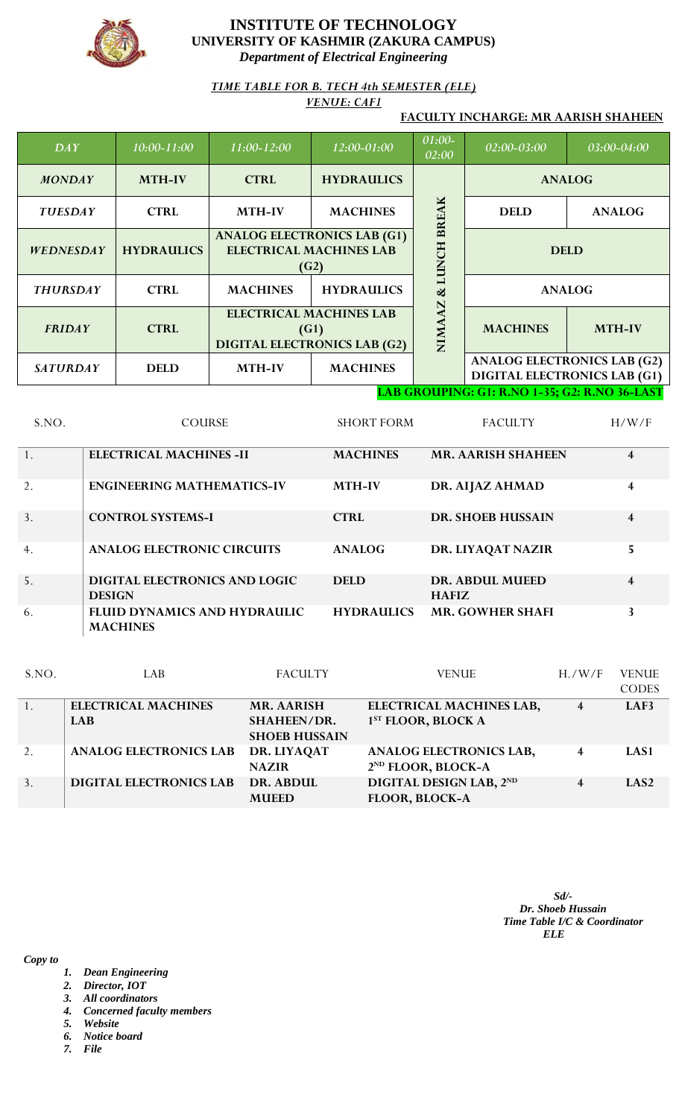

### *TIME TABLE FOR B. TECH 4th SEMESTER (ELE) VENUE: CAF1*

## **FACULTY INCHARGE: MR AARISH SHAHEEN**

| DAY              | $10:00 - 11:00$   | 11:00-12:00                                                                   | 12:00-01:00       | 01:00-<br>02:00 | 02:00-03:00                                                               | 03:00-04:00   |
|------------------|-------------------|-------------------------------------------------------------------------------|-------------------|-----------------|---------------------------------------------------------------------------|---------------|
| <b>MONDAY</b>    | <b>MTH-IV</b>     | <b>HYDRAULICS</b><br><b>CTRL</b>                                              |                   |                 |                                                                           | <b>ANALOG</b> |
| <b>TUESDAY</b>   | <b>CTRL</b>       | <b>MTH-IV</b>                                                                 | <b>MACHINES</b>   | <b>BREAK</b>    | <b>DELD</b>                                                               | <b>ANALOG</b> |
| <b>WEDNESDAY</b> | <b>HYDRAULICS</b> | <b>ANALOG ELECTRONICS LAB (G1)</b><br><b>ELECTRICAL MACHINES LAB</b><br>(G2)  |                   | <b>LUNCH</b>    |                                                                           | <b>DELD</b>   |
| <b>THURSDAY</b>  | <b>CTRL</b>       | <b>MACHINES</b>                                                               | <b>HYDRAULICS</b> |                 |                                                                           | <b>ANALOG</b> |
| <b>FRIDAY</b>    | <b>CTRL</b>       | <b>ELECTRICAL MACHINES LAB</b><br>(G1)<br><b>DIGITAL ELECTRONICS LAB (G2)</b> |                   | N<br>NIMA       | <b>MACHINES</b>                                                           | <b>MTH-IV</b> |
| <b>SATURDAY</b>  | <b>DELD</b>       | <b>MTH-IV</b>                                                                 | <b>MACHINES</b>   |                 | <b>ANALOG ELECTRONICS LAB (G2)</b><br><b>DIGITAL ELECTRONICS LAB (G1)</b> |               |

### **LAB GROUPING: G1: R.NO 1-35; G2: R.NO 36-LAST**

| S.NO. | <b>COURSE</b>                                   | <b>SHORT FORM</b> | <b>FACULTY</b>                  | H/W/F                   |
|-------|-------------------------------------------------|-------------------|---------------------------------|-------------------------|
| 1.    | <b>ELECTRICAL MACHINES -II</b>                  | <b>MACHINES</b>   | <b>MR. AARISH SHAHEEN</b>       | $\overline{\mathbf{4}}$ |
| 2.    | <b>ENGINEERING MATHEMATICS-IV</b>               | <b>MTH-IV</b>     | DR. AIJAZ AHMAD                 | $\overline{4}$          |
| 3.    | <b>CONTROL SYSTEMS-I</b>                        | <b>CTRL</b>       | <b>DR. SHOEB HUSSAIN</b>        | $\overline{4}$          |
| 4.    | <b>ANALOG ELECTRONIC CIRCUITS</b>               | <b>ANALOG</b>     | DR. LIYAQAT NAZIR               | 5                       |
| 5.    | DIGITAL ELECTRONICS AND LOGIC<br><b>DESIGN</b>  | <b>DELD</b>       | DR. ABDUL MUEED<br><b>HAFIZ</b> | $\overline{\mathbf{4}}$ |
| 6.    | FLUID DYNAMICS AND HYDRAULIC<br><b>MACHINES</b> | <b>HYDRAULICS</b> | <b>MR. GOWHER SHAFI</b>         | 3                       |

| S.NO. | LAB                            | <b>FACULTY</b>                             | <b>VENUE</b>                                                     | H. / W/F                | <b>VENUE</b>     |
|-------|--------------------------------|--------------------------------------------|------------------------------------------------------------------|-------------------------|------------------|
|       |                                |                                            |                                                                  |                         | <b>CODES</b>     |
|       | <b>ELECTRICAL MACHINES</b>     | <b>MR. AARISH</b>                          | <b>ELECTRICAL MACHINES LAB,</b>                                  | $\overline{4}$          | LAF3             |
|       | <b>LAB</b>                     | <b>SHAHEEN/DR.</b><br><b>SHOEB HUSSAIN</b> | 1 <sup>ST</sup> FLOOR, BLOCK A                                   |                         |                  |
| 2.    | <b>ANALOG ELECTRONICS LAB</b>  | DR. LIYAQAT<br><b>NAZIR</b>                | <b>ANALOG ELECTRONICS LAB,</b><br>2 <sup>ND</sup> FLOOR, BLOCK-A | $\overline{\mathbf{4}}$ | LAS1             |
| 3.    | <b>DIGITAL ELECTRONICS LAB</b> | DR. ABDUL<br><b>MUEED</b>                  | DIGITAL DESIGN LAB, 2ND<br>FLOOR, BLOCK-A                        | 4                       | LAS <sub>2</sub> |

*Sd/- Dr. Shoeb Hussain Time Table I/C & Coordinator ELE*

- *1. Dean Engineering*
- *2. Director, IOT*
- *3. All coordinators*
- *4. Concerned faculty members*
- *5. Website*
- *6. Notice board*
- *7. File*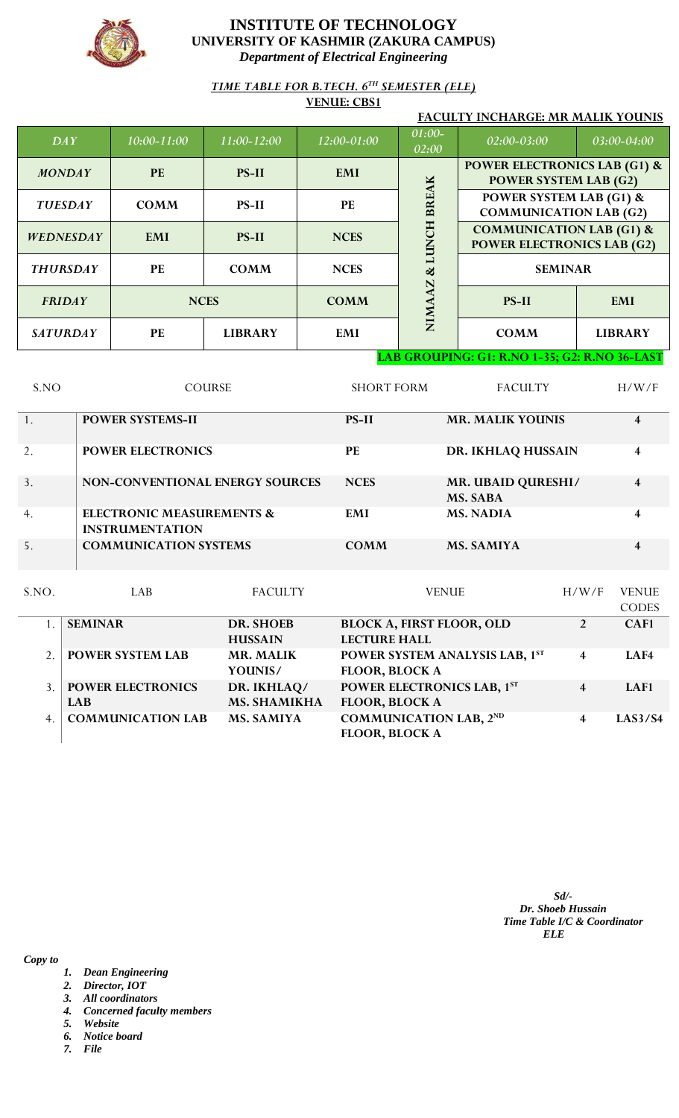

*TIME TABLE FOR B.TECH. 6TH SEMESTER (ELE)*

**VENUE: CBS1**

| FACULTY INCHARGE: MR MALIK YOUNIS |                                                   |                 |             |                   |                                                                          |                |  |
|-----------------------------------|---------------------------------------------------|-----------------|-------------|-------------------|--------------------------------------------------------------------------|----------------|--|
| DAY                               | $10:00 - 11:00$                                   | $11:00 - 12:00$ | 12:00-01:00 | $01:00-$<br>02:00 | 02:00-03:00                                                              | 03:00-04:00    |  |
| <b>MONDAY</b>                     | <b>PE</b>                                         | <b>PS-II</b>    | <b>EMI</b>  |                   | <b>POWER ELECTRONICS LAB (G1) &amp;</b><br><b>POWER SYSTEM LAB (G2)</b>  |                |  |
| <b>TUESDAY</b>                    | <b>COMM</b>                                       | $PS-II$         | <b>PE</b>   | <b>BREAK</b>      | <b>POWER SYSTEM LAB (G1) &amp;</b><br><b>COMMUNICATION LAB (G2)</b>      |                |  |
| <b>WEDNESDAY</b>                  | <b>EMI</b>                                        | <b>PS-II</b>    | <b>NCES</b> | Ħ<br><b>EUN</b>   | <b>COMMUNICATION LAB (G1) &amp;</b><br><b>POWER ELECTRONICS LAB (G2)</b> |                |  |
| <b>THURSDAY</b>                   | PE                                                | <b>COMM</b>     | <b>NCES</b> | ళ<br>N            | <b>SEMINAR</b>                                                           |                |  |
| <b>FRIDAY</b>                     |                                                   | <b>NCES</b>     | <b>COMM</b> | <b>NIMA</b>       | <b>PS-II</b>                                                             | <b>EMI</b>     |  |
| <b>SATURDAY</b>                   | PE                                                | <b>LIBRARY</b>  | EMI         |                   | <b>COMM</b>                                                              | <b>LIBRARY</b> |  |
|                                   | LAD CDOUDING, CL.D. NO. 1-25, CQ. D. NO. 26, LAST |                 |             |                   |                                                                          |                |  |

**LAB GROUPING: G1: R.NO 1-35; G2: R.NO 36-LAST**

| S.NO | <b>COURSE</b>                                                  | <b>SHORT FORM</b> | <b>FACULTY</b>                        | H/W/F |
|------|----------------------------------------------------------------|-------------------|---------------------------------------|-------|
|      | <b>POWER SYSTEMS-II</b>                                        | <b>PS-II</b>      | <b>MR. MALIK YOUNIS</b>               | 4     |
| 2.   | <b>POWER ELECTRONICS</b>                                       | <b>PE</b>         | DR. IKHLAQ HUSSAIN                    | 4     |
| 3.   | <b>NON-CONVENTIONAL ENERGY SOURCES</b>                         | <b>NCES</b>       | <b>MR. UBAID QURESHI/</b><br>MS. SABA | 4     |
| 4.   | <b>ELECTRONIC MEASUREMENTS &amp;</b><br><b>INSTRUMENTATION</b> | <b>EMI</b>        | <b>MS. NADIA</b>                      | 4     |
| 5.   | <b>COMMUNICATION SYSTEMS</b>                                   | <b>COMM</b>       | <b>MS. SAMIYA</b>                     | 4     |

| S.NO. | LAB.                     | <b>FACULTY</b>      | <b>VENUE</b>                     | H/W/F                   | <b>VENUE</b> |
|-------|--------------------------|---------------------|----------------------------------|-------------------------|--------------|
|       |                          |                     |                                  |                         | <b>CODES</b> |
|       | <b>SEMINAR</b>           | <b>DR. SHOEB</b>    | <b>BLOCK A, FIRST FLOOR, OLD</b> | $\overline{2}$          | CAF1         |
|       |                          | <b>HUSSAIN</b>      | <b>LECTURE HALL</b>              |                         |              |
|       | <b>POWER SYSTEM LAB</b>  | <b>MR. MALIK</b>    | POWER SYSTEM ANALYSIS LAB, 1ST   | 4                       | LAF4         |
|       |                          | YOUNIS/             | FLOOR, BLOCK A                   |                         |              |
|       | <b>POWER ELECTRONICS</b> | DR. IKHLAQ/         | POWER ELECTRONICS LAB, 1ST       | $\overline{\mathbf{4}}$ | LAF1         |
|       | <b>LAB</b>               | <b>MS. SHAMIKHA</b> | <b>FLOOR, BLOCK A</b>            |                         |              |
| 4.    | <b>COMMUNICATION LAB</b> | <b>MS. SAMIYA</b>   | <b>COMMUNICATION LAB, 2ND</b>    | 4                       | LAS3/S4      |
|       |                          |                     | FLOOR, BLOCK A                   |                         |              |

*Sd/- Dr. Shoeb Hussain Time Table I/C & Coordinator ELE*

- *1. Dean Engineering*
- *2. Director, IOT*
- *3. All coordinators*
- *4. Concerned faculty members*
- *5. Website*
- *6. Notice board*
- *7. File*